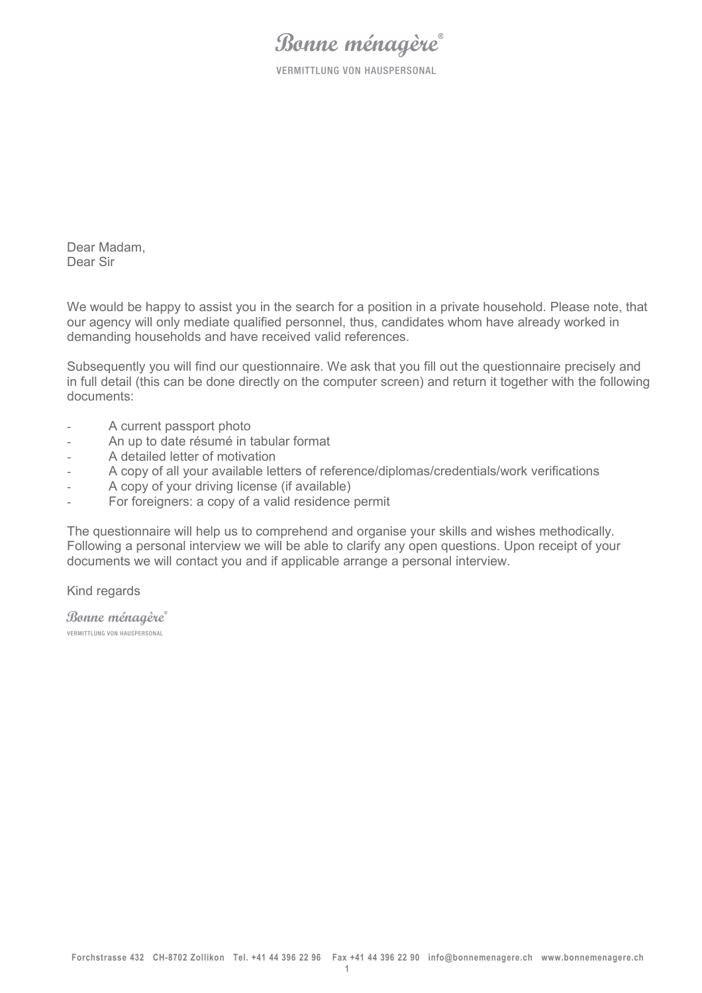**VERMITTLUNG VON HAUSPERSONAL** 

Dear Madam, Dear Sir

We would be happy to assist you in the search for a position in a private household. Please note, that our agency will only mediate qualified personnel, thus, candidates whom have already worked in demanding households and have received valid references.

Subsequently you will find our questionnaire. We ask that you fill out the questionnaire precisely and in full detail (this can be done directly on the computer screen) and return it together with the following documents:

- A current passport photo
- An up to date résumé in tabular format
- A detailed letter of motivation
- A copy of all your available letters of reference/diplomas/credentials/work verifications
- A copy of your driving license (if available)
- For foreigners: a copy of a valid residence permit

The questionnaire will help us to comprehend and organise your skills and wishes methodically. Following a personal interview we will be able to clarify any open questions. Upon receipt of your documents we will contact you and if applicable arrange a personal interview.

Kind regards

Bonne ménagère VERMITTLUNG VON HAUSPERSONAL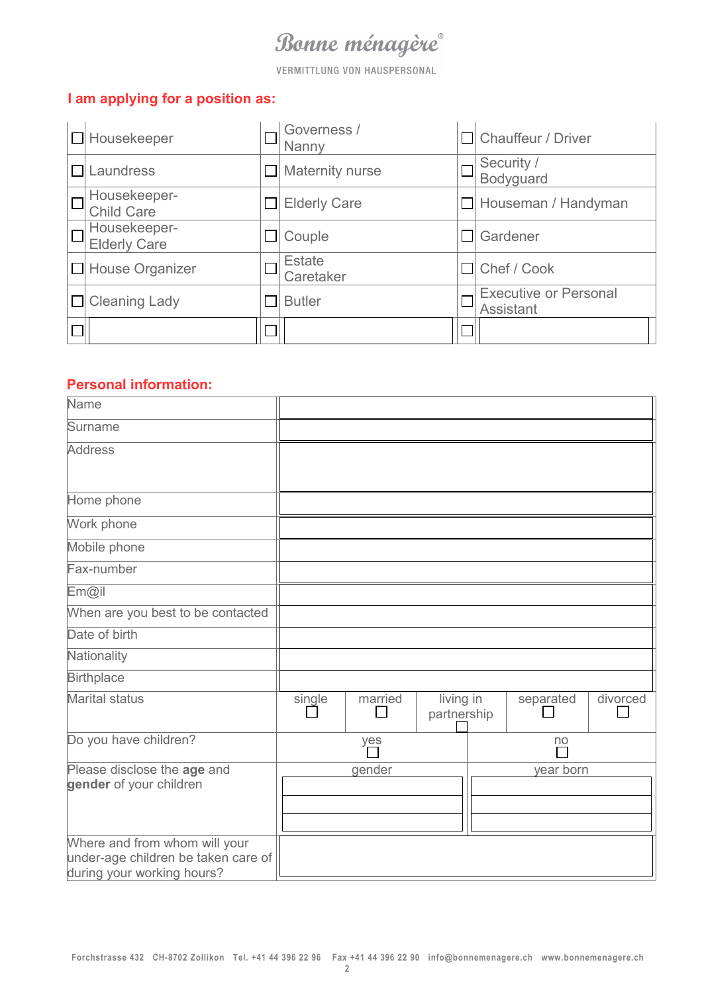**VERMITTLUNG VON HAUSPERSONAL** 

#### **I am applying for a position as:**

| $\Box$ Housekeeper                  |        | Governess /<br>Nanny |       | $\Box$ Chauffeur / Driver                        |
|-------------------------------------|--------|----------------------|-------|--------------------------------------------------|
| Laundress                           |        | Maternity nurse      |       | Security /<br>Bodyguard                          |
| Housekeeper-<br><b>Child Care</b>   |        | <b>Elderly Care</b>  |       | $\Box$ Houseman / Handyman                       |
| Housekeeper-<br><b>Elderly Care</b> |        | Couple               | l II. | Gardener                                         |
| $\Box$ House Organizer              |        | Estate<br>Caretaker  |       | $\Box$ Chef / Cook                               |
| $\Box$ Cleaning Lady                |        | <b>Butler</b>        |       | <b>Executive or Personal</b><br><b>Assistant</b> |
|                                     | $\Box$ |                      |       |                                                  |

### **Personal information:**

| Name                                                                                               |        |         |                          |           |          |
|----------------------------------------------------------------------------------------------------|--------|---------|--------------------------|-----------|----------|
| Surname                                                                                            |        |         |                          |           |          |
| <b>Address</b>                                                                                     |        |         |                          |           |          |
| Home phone                                                                                         |        |         |                          |           |          |
| Work phone                                                                                         |        |         |                          |           |          |
| Mobile phone                                                                                       |        |         |                          |           |          |
| Fax-number                                                                                         |        |         |                          |           |          |
| Em@il                                                                                              |        |         |                          |           |          |
| When are you best to be contacted                                                                  |        |         |                          |           |          |
| Date of birth                                                                                      |        |         |                          |           |          |
| Nationality                                                                                        |        |         |                          |           |          |
| <b>Birthplace</b>                                                                                  |        |         |                          |           |          |
| Marital status                                                                                     | single | married | living in<br>partnership | separated | divorced |
| Do you have children?                                                                              |        | yes     |                          | no        |          |
| Please disclose the age and<br>gender of your children                                             |        | gender  |                          | year born |          |
|                                                                                                    |        |         |                          |           |          |
| Where and from whom will your<br>under-age children be taken care of<br>during your working hours? |        |         |                          |           |          |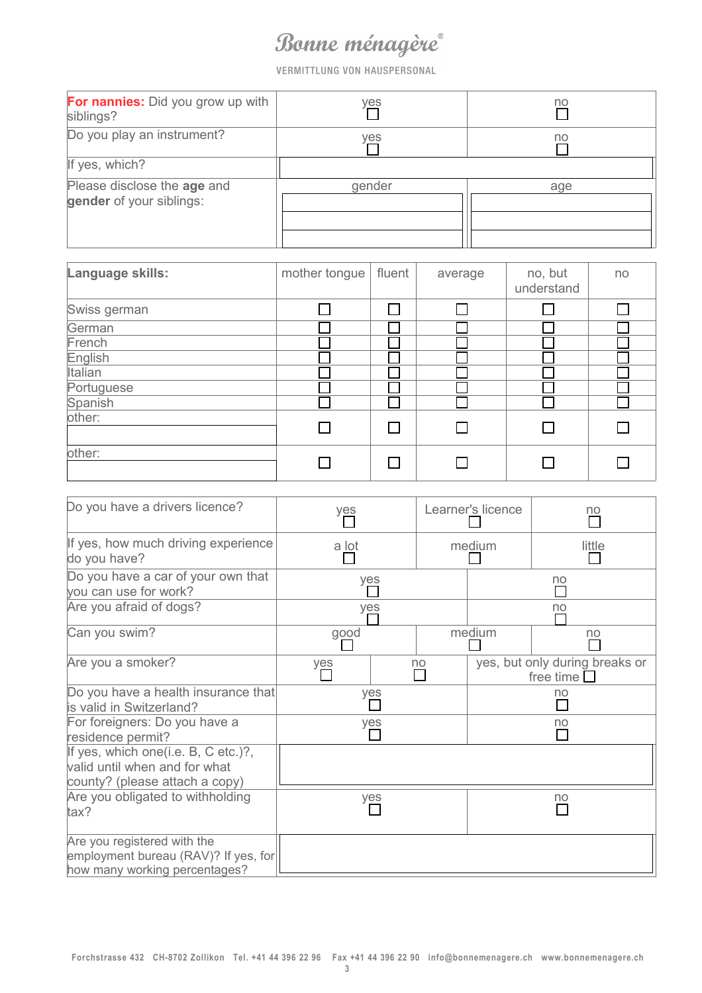VERMITTLUNG VON HAUSPERSONAL

| For nannies: Did you grow up with<br>siblings?          | yes    | no  |
|---------------------------------------------------------|--------|-----|
| Do you play an instrument?                              | yes    | no  |
| If yes, which?                                          |        |     |
| Please disclose the age and<br>gender of your siblings: | gender | age |

| Language skills: | mother tongue | fluent | average | no, but<br>understand | no |
|------------------|---------------|--------|---------|-----------------------|----|
| Swiss german     |               |        |         |                       |    |
| German           |               |        |         |                       |    |
| French           |               |        |         |                       |    |
| English          |               |        |         |                       |    |
| Italian          |               |        |         |                       |    |
| Portuguese       |               |        |         |                       |    |
| Spanish          |               |        |         |                       |    |
| other:           |               |        |         |                       |    |
| other:           |               |        |         |                       |    |

| Do you have a drivers licence?                                                                         | Learner's licence<br>yes |     | no |        |                                                       |
|--------------------------------------------------------------------------------------------------------|--------------------------|-----|----|--------|-------------------------------------------------------|
| If yes, how much driving experience<br>do you have?                                                    | a lot                    |     |    | medium | little                                                |
| Do you have a car of your own that<br>you can use for work?                                            |                          | yes |    |        | no                                                    |
| Are you afraid of dogs?                                                                                |                          | yes |    |        | no                                                    |
| Can you swim?                                                                                          | good                     |     |    | medium | no                                                    |
| Are you a smoker?                                                                                      | yes                      |     | no |        | yes, but only during breaks or<br>free time $\square$ |
| Do you have a health insurance that<br>is valid in Switzerland?                                        | yes                      |     | no |        |                                                       |
| For foreigners: Do you have a<br>residence permit?                                                     | yes                      |     | no |        |                                                       |
| If yes, which one(i.e. B, C etc.)?,<br>valid until when and for what<br>county? (please attach a copy) |                          |     |    |        |                                                       |
| Are you obligated to withholding<br>tax?                                                               | yes                      |     |    | no     |                                                       |
| Are you registered with the<br>employment bureau (RAV)? If yes, for<br>how many working percentages?   |                          |     |    |        |                                                       |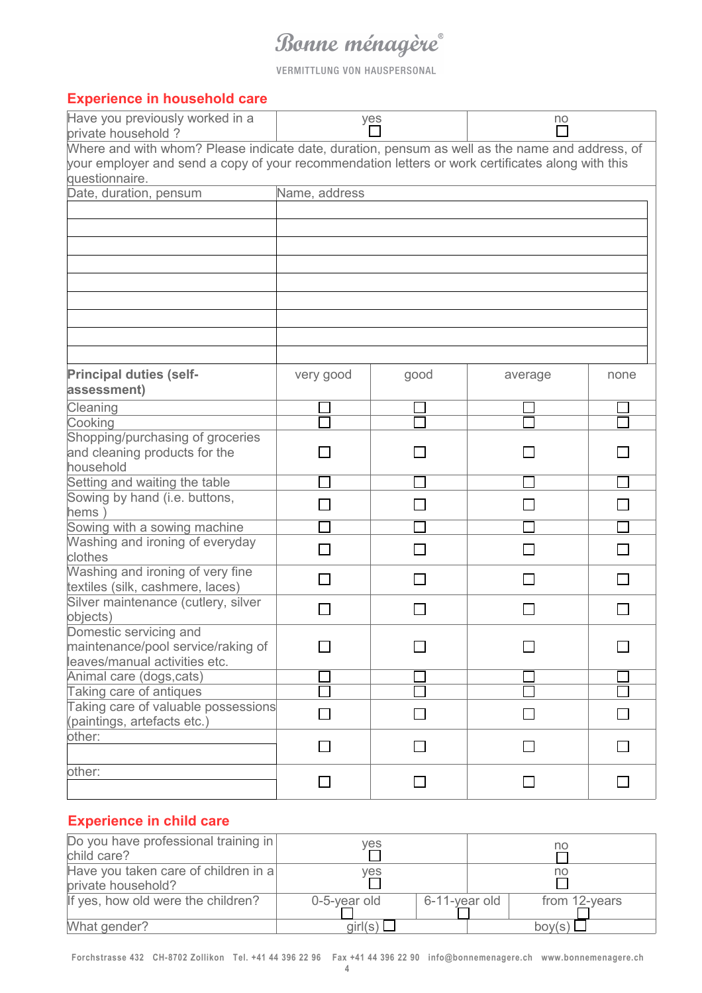VERMITTLUNG VON HAUSPERSONAL

#### **Experience in household care**

| Have you previously worked in a<br>private household?                                                               |                | yes            | no      |      |  |
|---------------------------------------------------------------------------------------------------------------------|----------------|----------------|---------|------|--|
| Where and with whom? Please indicate date, duration, pensum as well as the name and address, of                     |                |                |         |      |  |
| your employer and send a copy of your recommendation letters or work certificates along with this<br>questionnaire. |                |                |         |      |  |
| Date, duration, pensum                                                                                              | Name, address  |                |         |      |  |
|                                                                                                                     |                |                |         |      |  |
|                                                                                                                     |                |                |         |      |  |
|                                                                                                                     |                |                |         |      |  |
|                                                                                                                     |                |                |         |      |  |
|                                                                                                                     |                |                |         |      |  |
|                                                                                                                     |                |                |         |      |  |
|                                                                                                                     |                |                |         |      |  |
|                                                                                                                     |                |                |         |      |  |
|                                                                                                                     |                |                |         |      |  |
|                                                                                                                     |                |                |         |      |  |
|                                                                                                                     |                |                |         |      |  |
| <b>Principal duties (self-</b>                                                                                      | very good      | good           | average | none |  |
| assessment)                                                                                                         |                |                |         |      |  |
| Cleaning                                                                                                            |                |                |         |      |  |
| Cooking                                                                                                             |                |                |         |      |  |
| Shopping/purchasing of groceries                                                                                    |                |                |         |      |  |
| and cleaning products for the                                                                                       |                |                |         |      |  |
| household                                                                                                           |                |                |         |      |  |
| Setting and waiting the table                                                                                       |                |                |         |      |  |
| Sowing by hand (i.e. buttons,                                                                                       |                |                |         |      |  |
| hems)                                                                                                               |                |                |         |      |  |
| Sowing with a sowing machine                                                                                        |                |                |         |      |  |
| Washing and ironing of everyday                                                                                     |                |                |         |      |  |
| clothes                                                                                                             |                |                |         |      |  |
| Washing and ironing of very fine                                                                                    | $\blacksquare$ |                |         |      |  |
| textiles (silk, cashmere, laces)<br>Silver maintenance (cutlery, silver                                             |                |                |         |      |  |
| objects)                                                                                                            |                |                |         |      |  |
| Domestic servicing and                                                                                              |                |                |         |      |  |
| maintenance/pool service/raking of                                                                                  |                |                |         |      |  |
| leaves/manual activities etc.                                                                                       |                |                |         |      |  |
| Animal care (dogs, cats)                                                                                            |                |                |         |      |  |
| Taking care of antiques                                                                                             |                |                |         |      |  |
| Taking care of valuable possessions                                                                                 |                |                |         |      |  |
| (paintings, artefacts etc.)                                                                                         |                |                |         |      |  |
| other:                                                                                                              |                |                |         |      |  |
|                                                                                                                     |                |                |         |      |  |
| other:                                                                                                              |                |                |         |      |  |
|                                                                                                                     |                | $\blacksquare$ |         |      |  |
|                                                                                                                     |                |                |         |      |  |

### **Experience in child care**

| Do you have professional training in<br>child care?        | yes               |               | no              |
|------------------------------------------------------------|-------------------|---------------|-----------------|
| Have you taken care of children in a<br>private household? | yes               |               | no              |
| If yes, how old were the children?                         | 0-5-year old      | 6-11-year old | from 12-years   |
| What gender?                                               | girl(s) $\square$ |               | $\text{boy}(s)$ |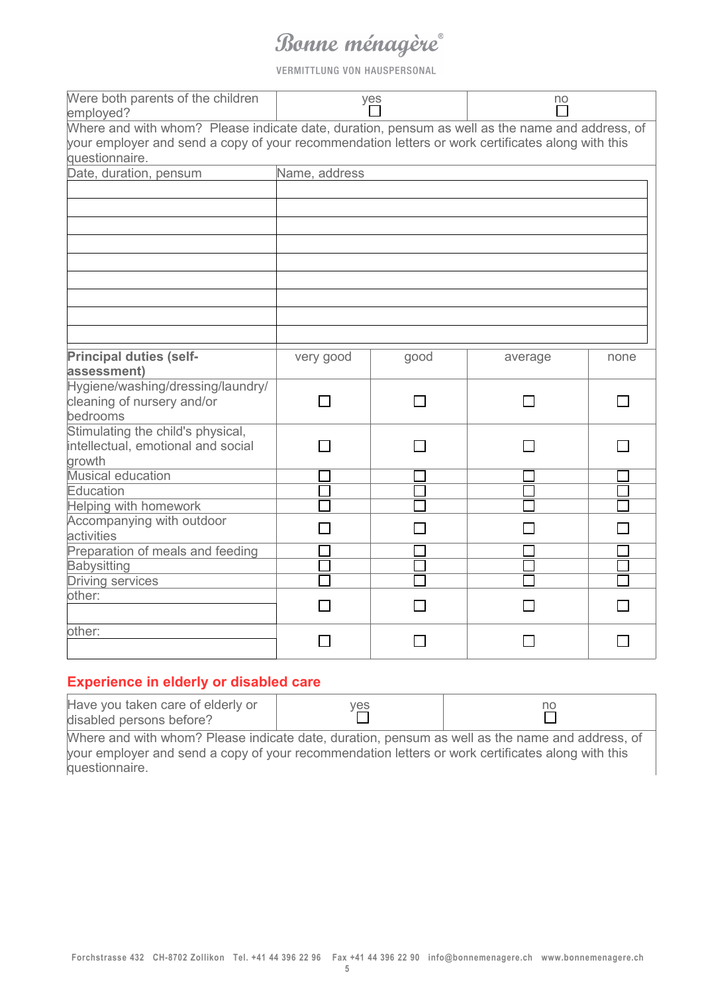VERMITTLUNG VON HAUSPERSONAL

| Were both parents of the children<br>employed?                                                                                                                                                                         |               | yes  | no      |      |  |  |  |
|------------------------------------------------------------------------------------------------------------------------------------------------------------------------------------------------------------------------|---------------|------|---------|------|--|--|--|
| Where and with whom? Please indicate date, duration, pensum as well as the name and address, of<br>your employer and send a copy of your recommendation letters or work certificates along with this<br>questionnaire. |               |      |         |      |  |  |  |
| Date, duration, pensum                                                                                                                                                                                                 | Name, address |      |         |      |  |  |  |
|                                                                                                                                                                                                                        |               |      |         |      |  |  |  |
|                                                                                                                                                                                                                        |               |      |         |      |  |  |  |
| <b>Principal duties (self-</b><br>assessment)                                                                                                                                                                          | very good     | good | average | none |  |  |  |
| Hygiene/washing/dressing/laundry/<br>cleaning of nursery and/or<br>bedrooms                                                                                                                                            |               |      |         |      |  |  |  |
| Stimulating the child's physical,<br>intellectual, emotional and social<br>growth                                                                                                                                      |               |      |         |      |  |  |  |
| Musical education<br>Education<br>Helping with homework                                                                                                                                                                |               |      |         |      |  |  |  |
| Accompanying with outdoor<br>activities                                                                                                                                                                                |               |      |         |      |  |  |  |
| Preparation of meals and feeding<br><b>Babysitting</b><br><b>Driving services</b>                                                                                                                                      |               |      |         |      |  |  |  |
| other:                                                                                                                                                                                                                 |               |      |         |      |  |  |  |
| other:                                                                                                                                                                                                                 |               |      |         |      |  |  |  |

### **Experience in elderly or disabled care**

| Have you taken care of elderly or<br>disabled persons before?                                     | yes | no |  |  |  |
|---------------------------------------------------------------------------------------------------|-----|----|--|--|--|
| Where and with whom? Please indicate date, duration, pensum as well as the name and address, of   |     |    |  |  |  |
| your employer and send a copy of your recommendation letters or work certificates along with this |     |    |  |  |  |
| questionnaire.                                                                                    |     |    |  |  |  |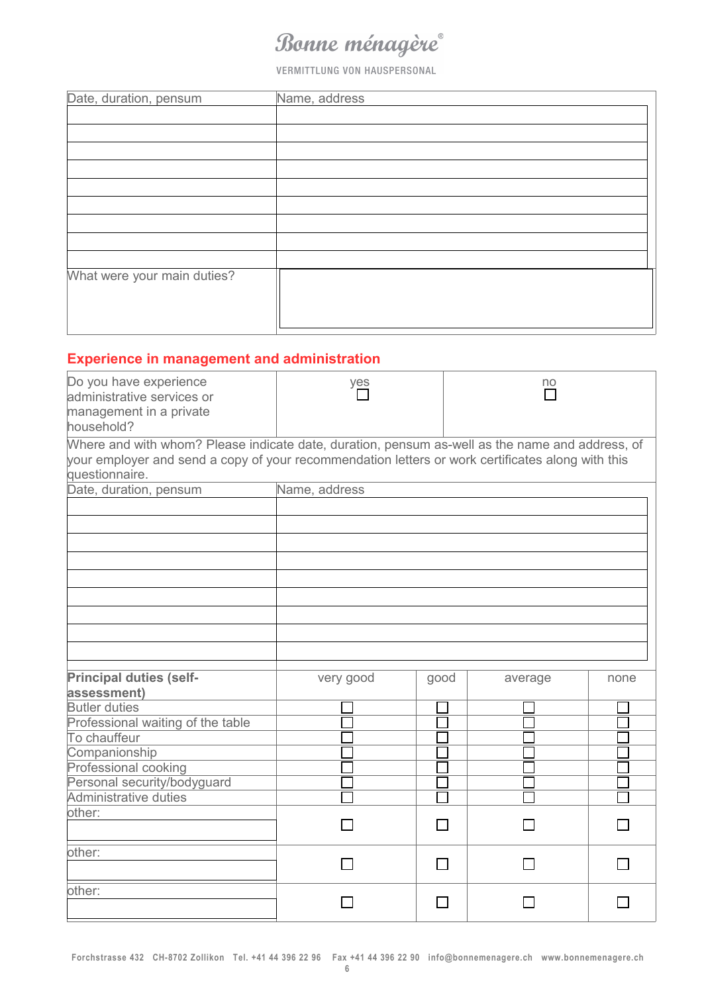VERMITTLUNG VON HAUSPERSONAL

| Date, duration, pensum      | Name, address |
|-----------------------------|---------------|
|                             |               |
|                             |               |
|                             |               |
|                             |               |
|                             |               |
|                             |               |
|                             |               |
|                             |               |
|                             |               |
| What were your main duties? |               |
|                             |               |
|                             |               |
|                             |               |

### **Experience in management and administration**

| Do you have experience<br>administrative services or<br>management in a private<br>household?                                                                                                                          | yes           |      | no      |      |
|------------------------------------------------------------------------------------------------------------------------------------------------------------------------------------------------------------------------|---------------|------|---------|------|
| Where and with whom? Please indicate date, duration, pensum as-well as the name and address, of<br>your employer and send a copy of your recommendation letters or work certificates along with this<br>questionnaire. |               |      |         |      |
| Date, duration, pensum                                                                                                                                                                                                 | Name, address |      |         |      |
|                                                                                                                                                                                                                        |               |      |         |      |
|                                                                                                                                                                                                                        |               |      |         |      |
|                                                                                                                                                                                                                        |               |      |         |      |
|                                                                                                                                                                                                                        |               |      |         |      |
|                                                                                                                                                                                                                        |               |      |         |      |
|                                                                                                                                                                                                                        |               |      |         |      |
|                                                                                                                                                                                                                        |               |      |         |      |
|                                                                                                                                                                                                                        |               |      |         |      |
|                                                                                                                                                                                                                        |               |      |         |      |
|                                                                                                                                                                                                                        |               |      |         |      |
|                                                                                                                                                                                                                        |               |      |         |      |
| <b>Principal duties (self-</b>                                                                                                                                                                                         | very good     | good | average | none |
| assessment)                                                                                                                                                                                                            |               |      |         |      |
| <b>Butler duties</b>                                                                                                                                                                                                   |               |      |         |      |
| Professional waiting of the table                                                                                                                                                                                      |               |      |         |      |
| To chauffeur                                                                                                                                                                                                           |               |      |         |      |
| Companionship                                                                                                                                                                                                          |               |      |         |      |
| Professional cooking                                                                                                                                                                                                   |               |      |         |      |
| Personal security/bodyguard                                                                                                                                                                                            |               |      |         |      |
| Administrative duties                                                                                                                                                                                                  |               |      |         |      |
| other:                                                                                                                                                                                                                 |               |      |         |      |
|                                                                                                                                                                                                                        |               |      |         |      |
| other:                                                                                                                                                                                                                 |               |      |         |      |
|                                                                                                                                                                                                                        |               |      |         |      |
| other:                                                                                                                                                                                                                 |               |      |         |      |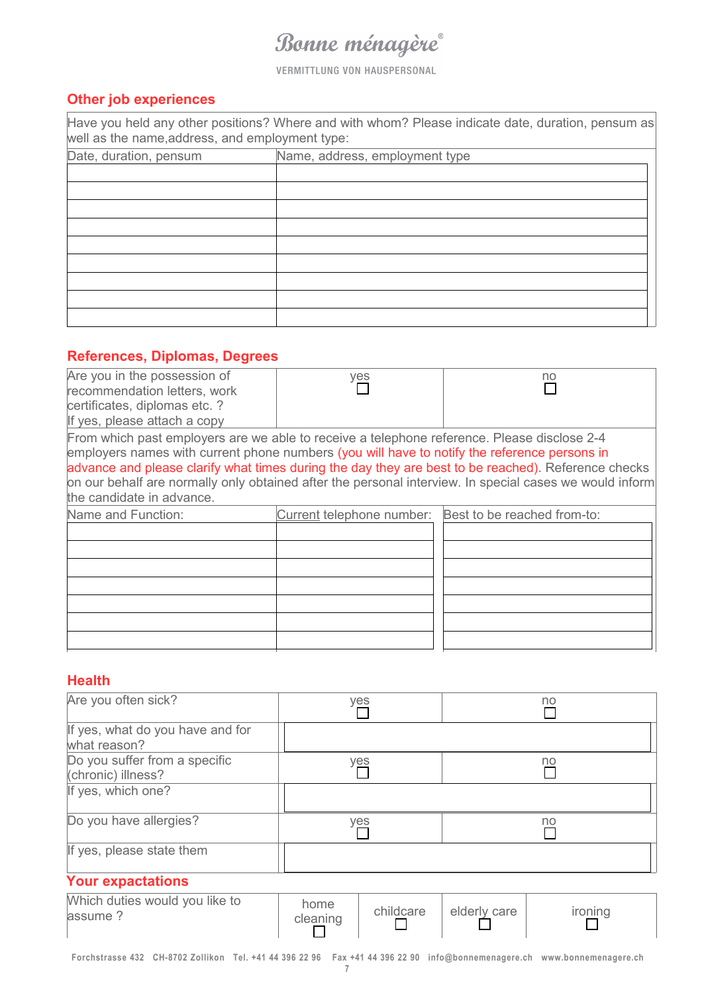**VERMITTLUNG VON HAUSPERSONAL** 

### **Other job experiences**

Have you held any other positions? Where and with whom? Please indicate date, duration, pensum as well as the name, address, and employment type:

| Date, duration, pensum | Name, address, employment type |  |
|------------------------|--------------------------------|--|
|                        |                                |  |
|                        |                                |  |
|                        |                                |  |
|                        |                                |  |
|                        |                                |  |
|                        |                                |  |
|                        |                                |  |
|                        |                                |  |
|                        |                                |  |

#### **References, Diplomas, Degrees**

| Are you in the possession of<br>recommendation letters, work<br>certificates, diplomas etc. ?<br>If yes, please attach a copy                                                                                            | yes                                                   | no                                                                                                                                                                                                             |
|--------------------------------------------------------------------------------------------------------------------------------------------------------------------------------------------------------------------------|-------------------------------------------------------|----------------------------------------------------------------------------------------------------------------------------------------------------------------------------------------------------------------|
| From which past employers are we able to receive a telephone reference. Please disclose 2-4<br>employers names with current phone numbers (you will have to notify the reference persons in<br>the candidate in advance. |                                                       | advance and please clarify what times during the day they are best to be reached). Reference checks<br>on our behalf are normally only obtained after the personal interview. In special cases we would inform |
| Name and Function:                                                                                                                                                                                                       | Current telephone number: Best to be reached from-to: |                                                                                                                                                                                                                |
|                                                                                                                                                                                                                          |                                                       |                                                                                                                                                                                                                |

#### **Health**

| Are you often sick?                                 | yes | no |
|-----------------------------------------------------|-----|----|
| If yes, what do you have and for<br>what reason?    |     |    |
| Do you suffer from a specific<br>(chronic) illness? | yes | no |
| If yes, which one?                                  |     |    |
| Do you have allergies?                              | yes | no |
| If yes, please state them                           |     |    |
| Valle avnaatational                                 |     |    |

#### **Your expactations**

| Which duties would you like to<br>assume | home<br>cleanınd | childcare | elderly care | ıronına |
|------------------------------------------|------------------|-----------|--------------|---------|
|------------------------------------------|------------------|-----------|--------------|---------|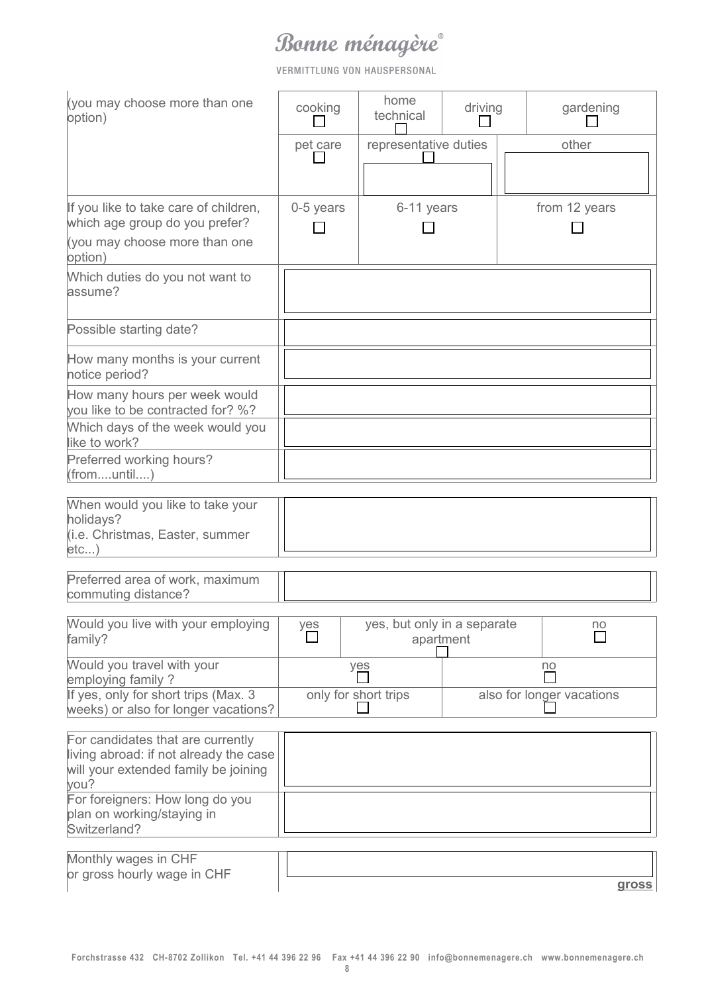VERMITTLUNG VON HAUSPERSONAL

| (you may choose more than one                                                                                       |           | home                                     |         |                           |
|---------------------------------------------------------------------------------------------------------------------|-----------|------------------------------------------|---------|---------------------------|
| option)                                                                                                             | cooking   | technical                                | driving | gardening                 |
|                                                                                                                     | pet care  | representative duties                    |         | other                     |
|                                                                                                                     |           |                                          |         |                           |
| If you like to take care of children,                                                                               | 0-5 years | 6-11 years                               |         | from 12 years             |
| which age group do you prefer?                                                                                      |           |                                          |         |                           |
| (you may choose more than one<br>option)                                                                            |           |                                          |         |                           |
| Which duties do you not want to<br>assume?                                                                          |           |                                          |         |                           |
| Possible starting date?                                                                                             |           |                                          |         |                           |
| How many months is your current<br>notice period?                                                                   |           |                                          |         |                           |
| How many hours per week would<br>you like to be contracted for? %?                                                  |           |                                          |         |                           |
| Which days of the week would you<br>like to work?                                                                   |           |                                          |         |                           |
| Preferred working hours?<br>(fromuntil)                                                                             |           |                                          |         |                           |
| When would you like to take your                                                                                    |           |                                          |         |                           |
| holidays?<br>(i.e. Christmas, Easter, summer<br>etc)                                                                |           |                                          |         |                           |
| Preferred area of work, maximum<br>commuting distance?                                                              |           |                                          |         |                           |
| Would you live with your employing<br>family?                                                                       | yes       | yes, but only in a separate<br>apartment |         | no                        |
| Would you travel with your<br>employing family ?                                                                    |           | yes                                      |         | no                        |
| If yes, only for short trips (Max. 3<br>weeks) or also for longer vacations?                                        |           | only for short trips                     |         | also for longer vacations |
| For candidates that are currently<br>living abroad: if not already the case<br>will your extended family be joining |           |                                          |         |                           |
| you?<br>For foreigners: How long do you<br>plan on working/staying in<br>Switzerland?                               |           |                                          |         |                           |
| Monthly wages in CHF<br>or gross hourly wage in CHF                                                                 |           |                                          |         | <b>gross</b>              |